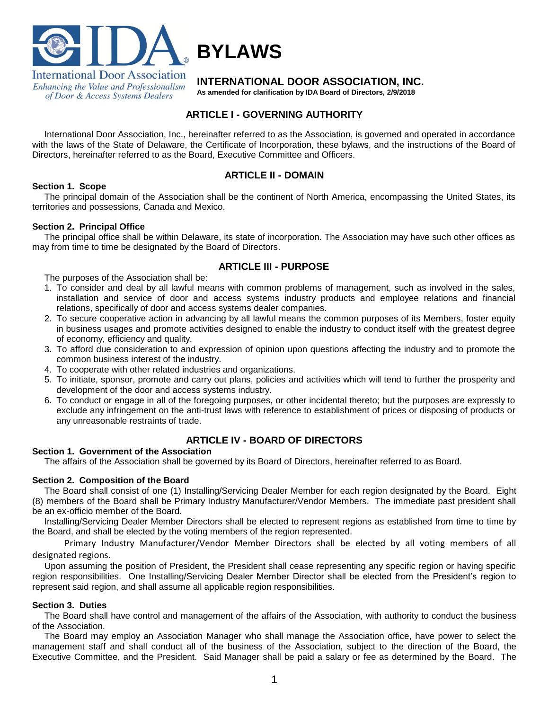

of Door & Access Systems Dealers

**INTERNATIONAL DOOR ASSOCIATION, INC.**

**As amended for clarification by IDA Board of Directors, 2/9/2018**

# **ARTICLE I - GOVERNING AUTHORITY**

**BYLAWS**

International Door Association, Inc., hereinafter referred to as the Association, is governed and operated in accordance with the laws of the State of Delaware, the Certificate of Incorporation, these bylaws, and the instructions of the Board of Directors, hereinafter referred to as the Board, Executive Committee and Officers.

# **ARTICLE II - DOMAIN**

# **Section 1. Scope**

The principal domain of the Association shall be the continent of North America, encompassing the United States, its territories and possessions, Canada and Mexico.

# **Section 2. Principal Office**

The principal office shall be within Delaware, its state of incorporation. The Association may have such other offices as may from time to time be designated by the Board of Directors.

# **ARTICLE III - PURPOSE**

The purposes of the Association shall be:

- 1. To consider and deal by all lawful means with common problems of management, such as involved in the sales, installation and service of door and access systems industry products and employee relations and financial relations, specifically of door and access systems dealer companies.
- 2. To secure cooperative action in advancing by all lawful means the common purposes of its Members, foster equity in business usages and promote activities designed to enable the industry to conduct itself with the greatest degree of economy, efficiency and quality.
- 3. To afford due consideration to and expression of opinion upon questions affecting the industry and to promote the common business interest of the industry.
- 4. To cooperate with other related industries and organizations.
- 5. To initiate, sponsor, promote and carry out plans, policies and activities which will tend to further the prosperity and development of the door and access systems industry.
- 6. To conduct or engage in all of the foregoing purposes, or other incidental thereto; but the purposes are expressly to exclude any infringement on the anti-trust laws with reference to establishment of prices or disposing of products or any unreasonable restraints of trade.

# **ARTICLE IV - BOARD OF DIRECTORS**

# **Section 1. Government of the Association**

The affairs of the Association shall be governed by its Board of Directors, hereinafter referred to as Board.

# **Section 2. Composition of the Board**

The Board shall consist of one (1) Installing/Servicing Dealer Member for each region designated by the Board. Eight (8) members of the Board shall be Primary Industry Manufacturer/Vendor Members. The immediate past president shall be an ex-officio member of the Board.

Installing/Servicing Dealer Member Directors shall be elected to represent regions as established from time to time by the Board, and shall be elected by the voting members of the region represented.

Primary Industry Manufacturer/Vendor Member Directors shall be elected by all voting members of all designated regions.

Upon assuming the position of President, the President shall cease representing any specific region or having specific region responsibilities. One Installing/Servicing Dealer Member Director shall be elected from the President's region to represent said region, and shall assume all applicable region responsibilities.

# **Section 3. Duties**

The Board shall have control and management of the affairs of the Association, with authority to conduct the business of the Association.

The Board may employ an Association Manager who shall manage the Association office, have power to select the management staff and shall conduct all of the business of the Association, subject to the direction of the Board, the Executive Committee, and the President. Said Manager shall be paid a salary or fee as determined by the Board. The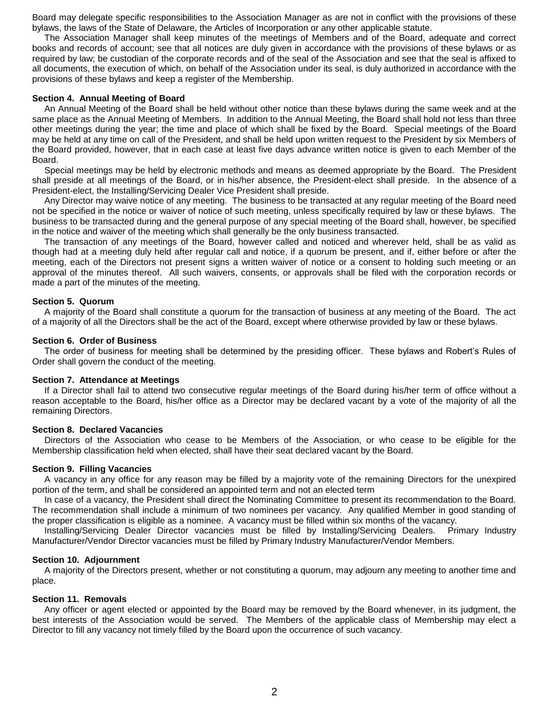Board may delegate specific responsibilities to the Association Manager as are not in conflict with the provisions of these bylaws, the laws of the State of Delaware, the Articles of Incorporation or any other applicable statute.

The Association Manager shall keep minutes of the meetings of Members and of the Board, adequate and correct books and records of account; see that all notices are duly given in accordance with the provisions of these bylaws or as required by law; be custodian of the corporate records and of the seal of the Association and see that the seal is affixed to all documents, the execution of which, on behalf of the Association under its seal, is duly authorized in accordance with the provisions of these bylaws and keep a register of the Membership.

#### **Section 4. Annual Meeting of Board**

An Annual Meeting of the Board shall be held without other notice than these bylaws during the same week and at the same place as the Annual Meeting of Members. In addition to the Annual Meeting, the Board shall hold not less than three other meetings during the year; the time and place of which shall be fixed by the Board. Special meetings of the Board may be held at any time on call of the President, and shall be held upon written request to the President by six Members of the Board provided, however, that in each case at least five days advance written notice is given to each Member of the Board.

Special meetings may be held by electronic methods and means as deemed appropriate by the Board. The President shall preside at all meetings of the Board, or in his/her absence, the President-elect shall preside. In the absence of a President-elect, the Installing/Servicing Dealer Vice President shall preside.

Any Director may waive notice of any meeting. The business to be transacted at any regular meeting of the Board need not be specified in the notice or waiver of notice of such meeting, unless specifically required by law or these bylaws. The business to be transacted during and the general purpose of any special meeting of the Board shall, however, be specified in the notice and waiver of the meeting which shall generally be the only business transacted.

The transaction of any meetings of the Board, however called and noticed and wherever held, shall be as valid as though had at a meeting duly held after regular call and notice, if a quorum be present, and if, either before or after the meeting, each of the Directors not present signs a written waiver of notice or a consent to holding such meeting or an approval of the minutes thereof. All such waivers, consents, or approvals shall be filed with the corporation records or made a part of the minutes of the meeting.

#### **Section 5. Quorum**

A majority of the Board shall constitute a quorum for the transaction of business at any meeting of the Board. The act of a majority of all the Directors shall be the act of the Board, except where otherwise provided by law or these bylaws.

#### **Section 6. Order of Business**

The order of business for meeting shall be determined by the presiding officer. These bylaws and Robert's Rules of Order shall govern the conduct of the meeting.

#### **Section 7. Attendance at Meetings**

If a Director shall fail to attend two consecutive regular meetings of the Board during his/her term of office without a reason acceptable to the Board, his/her office as a Director may be declared vacant by a vote of the majority of all the remaining Directors.

#### **Section 8. Declared Vacancies**

Directors of the Association who cease to be Members of the Association, or who cease to be eligible for the Membership classification held when elected, shall have their seat declared vacant by the Board.

#### **Section 9. Filling Vacancies**

A vacancy in any office for any reason may be filled by a majority vote of the remaining Directors for the unexpired portion of the term, and shall be considered an appointed term and not an elected term

In case of a vacancy, the President shall direct the Nominating Committee to present its recommendation to the Board. The recommendation shall include a minimum of two nominees per vacancy. Any qualified Member in good standing of the proper classification is eligible as a nominee. A vacancy must be filled within six months of the vacancy.

Installing/Servicing Dealer Director vacancies must be filled by Installing/Servicing Dealers. Primary Industry Manufacturer/Vendor Director vacancies must be filled by Primary Industry Manufacturer/Vendor Members.

#### **Section 10. Adjournment**

A majority of the Directors present, whether or not constituting a quorum, may adjourn any meeting to another time and place.

#### **Section 11. Removals**

Any officer or agent elected or appointed by the Board may be removed by the Board whenever, in its judgment, the best interests of the Association would be served. The Members of the applicable class of Membership may elect a Director to fill any vacancy not timely filled by the Board upon the occurrence of such vacancy.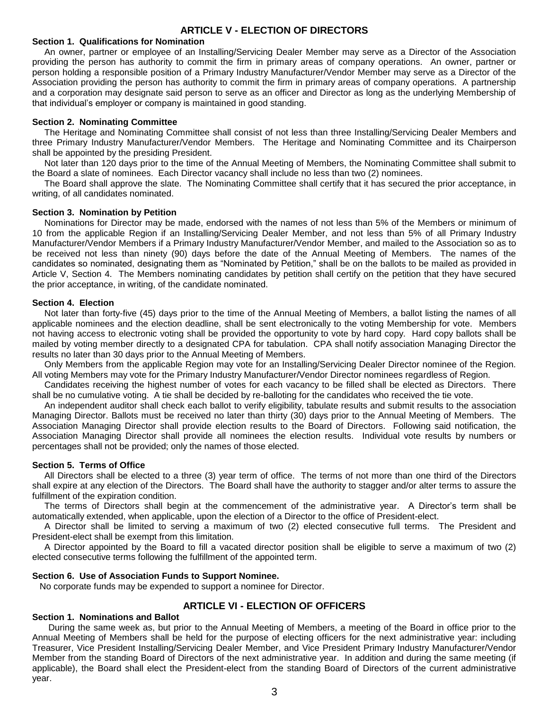# **ARTICLE V - ELECTION OF DIRECTORS**

### **Section 1. Qualifications for Nomination**

An owner, partner or employee of an Installing/Servicing Dealer Member may serve as a Director of the Association providing the person has authority to commit the firm in primary areas of company operations. An owner, partner or person holding a responsible position of a Primary Industry Manufacturer/Vendor Member may serve as a Director of the Association providing the person has authority to commit the firm in primary areas of company operations. A partnership and a corporation may designate said person to serve as an officer and Director as long as the underlying Membership of that individual's employer or company is maintained in good standing.

### **Section 2. Nominating Committee**

The Heritage and Nominating Committee shall consist of not less than three Installing/Servicing Dealer Members and three Primary Industry Manufacturer/Vendor Members. The Heritage and Nominating Committee and its Chairperson shall be appointed by the presiding President.

Not later than 120 days prior to the time of the Annual Meeting of Members, the Nominating Committee shall submit to the Board a slate of nominees. Each Director vacancy shall include no less than two (2) nominees.

The Board shall approve the slate. The Nominating Committee shall certify that it has secured the prior acceptance, in writing, of all candidates nominated.

## **Section 3. Nomination by Petition**

Nominations for Director may be made, endorsed with the names of not less than 5% of the Members or minimum of 10 from the applicable Region if an Installing/Servicing Dealer Member, and not less than 5% of all Primary Industry Manufacturer/Vendor Members if a Primary Industry Manufacturer/Vendor Member, and mailed to the Association so as to be received not less than ninety (90) days before the date of the Annual Meeting of Members. The names of the candidates so nominated, designating them as "Nominated by Petition," shall be on the ballots to be mailed as provided in Article V, Section 4. The Members nominating candidates by petition shall certify on the petition that they have secured the prior acceptance, in writing, of the candidate nominated.

## **Section 4. Election**

Not later than forty-five (45) days prior to the time of the Annual Meeting of Members, a ballot listing the names of all applicable nominees and the election deadline, shall be sent electronically to the voting Membership for vote. Members not having access to electronic voting shall be provided the opportunity to vote by hard copy. Hard copy ballots shall be mailed by voting member directly to a designated CPA for tabulation. CPA shall notify association Managing Director the results no later than 30 days prior to the Annual Meeting of Members.

Only Members from the applicable Region may vote for an Installing/Servicing Dealer Director nominee of the Region. All voting Members may vote for the Primary Industry Manufacturer/Vendor Director nominees regardless of Region.

Candidates receiving the highest number of votes for each vacancy to be filled shall be elected as Directors. There shall be no cumulative voting. A tie shall be decided by re-balloting for the candidates who received the tie vote.

An independent auditor shall check each ballot to verify eligibility, tabulate results and submit results to the association Managing Director. Ballots must be received no later than thirty (30) days prior to the Annual Meeting of Members. The Association Managing Director shall provide election results to the Board of Directors. Following said notification, the Association Managing Director shall provide all nominees the election results. Individual vote results by numbers or percentages shall not be provided; only the names of those elected.

#### **Section 5. Terms of Office**

All Directors shall be elected to a three (3) year term of office. The terms of not more than one third of the Directors shall expire at any election of the Directors. The Board shall have the authority to stagger and/or alter terms to assure the fulfillment of the expiration condition.

The terms of Directors shall begin at the commencement of the administrative year. A Director's term shall be automatically extended, when applicable, upon the election of a Director to the office of President-elect.

A Director shall be limited to serving a maximum of two (2) elected consecutive full terms. The President and President-elect shall be exempt from this limitation.

A Director appointed by the Board to fill a vacated director position shall be eligible to serve a maximum of two (2) elected consecutive terms following the fulfillment of the appointed term.

### **Section 6. Use of Association Funds to Support Nominee.**

No corporate funds may be expended to support a nominee for Director.

# **ARTICLE VI - ELECTION OF OFFICERS**

## **Section 1. Nominations and Ballot**

During the same week as, but prior to the Annual Meeting of Members, a meeting of the Board in office prior to the Annual Meeting of Members shall be held for the purpose of electing officers for the next administrative year: including Treasurer, Vice President Installing/Servicing Dealer Member, and Vice President Primary Industry Manufacturer/Vendor Member from the standing Board of Directors of the next administrative year. In addition and during the same meeting (if applicable), the Board shall elect the President-elect from the standing Board of Directors of the current administrative year.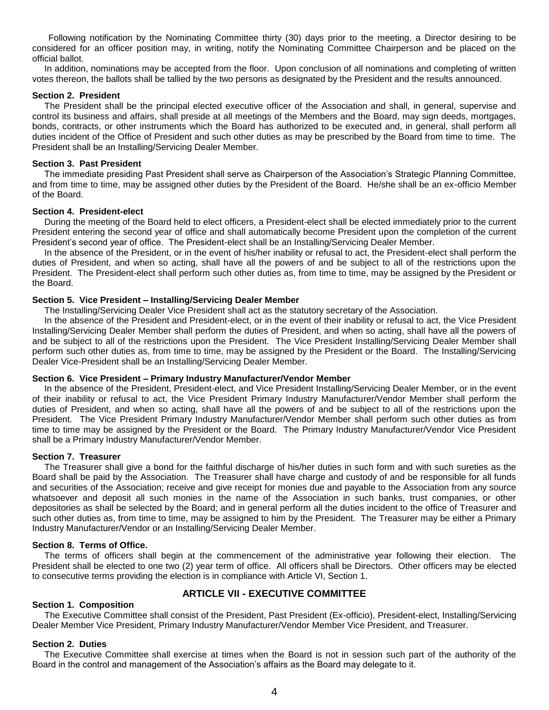Following notification by the Nominating Committee thirty (30) days prior to the meeting, a Director desiring to be considered for an officer position may, in writing, notify the Nominating Committee Chairperson and be placed on the official ballot.

In addition, nominations may be accepted from the floor. Upon conclusion of all nominations and completing of written votes thereon, the ballots shall be tallied by the two persons as designated by the President and the results announced.

# **Section 2. President**

The President shall be the principal elected executive officer of the Association and shall, in general, supervise and control its business and affairs, shall preside at all meetings of the Members and the Board, may sign deeds, mortgages, bonds, contracts, or other instruments which the Board has authorized to be executed and, in general, shall perform all duties incident of the Office of President and such other duties as may be prescribed by the Board from time to time. The President shall be an Installing/Servicing Dealer Member.

## **Section 3. Past President**

The immediate presiding Past President shall serve as Chairperson of the Association's Strategic Planning Committee, and from time to time, may be assigned other duties by the President of the Board. He/she shall be an ex-officio Member of the Board.

#### **Section 4. President-elect**

During the meeting of the Board held to elect officers, a President-elect shall be elected immediately prior to the current President entering the second year of office and shall automatically become President upon the completion of the current President's second year of office. The President-elect shall be an Installing/Servicing Dealer Member.

In the absence of the President, or in the event of his/her inability or refusal to act, the President-elect shall perform the duties of President, and when so acting, shall have all the powers of and be subject to all of the restrictions upon the President. The President-elect shall perform such other duties as, from time to time, may be assigned by the President or the Board.

## **Section 5. Vice President – Installing/Servicing Dealer Member**

The Installing/Servicing Dealer Vice President shall act as the statutory secretary of the Association.

In the absence of the President and President-elect, or in the event of their inability or refusal to act, the Vice President Installing/Servicing Dealer Member shall perform the duties of President, and when so acting, shall have all the powers of and be subject to all of the restrictions upon the President. The Vice President Installing/Servicing Dealer Member shall perform such other duties as, from time to time, may be assigned by the President or the Board. The Installing/Servicing Dealer Vice-President shall be an Installing/Servicing Dealer Member.

#### **Section 6. Vice President – Primary Industry Manufacturer/Vendor Member**

In the absence of the President, President-elect, and Vice President Installing/Servicing Dealer Member, or in the event of their inability or refusal to act, the Vice President Primary Industry Manufacturer/Vendor Member shall perform the duties of President, and when so acting, shall have all the powers of and be subject to all of the restrictions upon the President. The Vice President Primary Industry Manufacturer/Vendor Member shall perform such other duties as from time to time may be assigned by the President or the Board. The Primary Industry Manufacturer/Vendor Vice President shall be a Primary Industry Manufacturer/Vendor Member.

#### **Section 7. Treasurer**

The Treasurer shall give a bond for the faithful discharge of his/her duties in such form and with such sureties as the Board shall be paid by the Association. The Treasurer shall have charge and custody of and be responsible for all funds and securities of the Association; receive and give receipt for monies due and payable to the Association from any source whatsoever and deposit all such monies in the name of the Association in such banks, trust companies, or other depositories as shall be selected by the Board; and in general perform all the duties incident to the office of Treasurer and such other duties as, from time to time, may be assigned to him by the President. The Treasurer may be either a Primary Industry Manufacturer/Vendor or an Installing/Servicing Dealer Member.

#### **Section 8. Terms of Office.**

The terms of officers shall begin at the commencement of the administrative year following their election. The President shall be elected to one two (2) year term of office. All officers shall be Directors. Other officers may be elected to consecutive terms providing the election is in compliance with Article VI, Section 1.

# **ARTICLE VII - EXECUTIVE COMMITTEE**

# **Section 1. Composition**

The Executive Committee shall consist of the President, Past President (Ex-officio), President-elect, Installing/Servicing Dealer Member Vice President, Primary Industry Manufacturer/Vendor Member Vice President, and Treasurer.

# **Section 2. Duties**

The Executive Committee shall exercise at times when the Board is not in session such part of the authority of the Board in the control and management of the Association's affairs as the Board may delegate to it.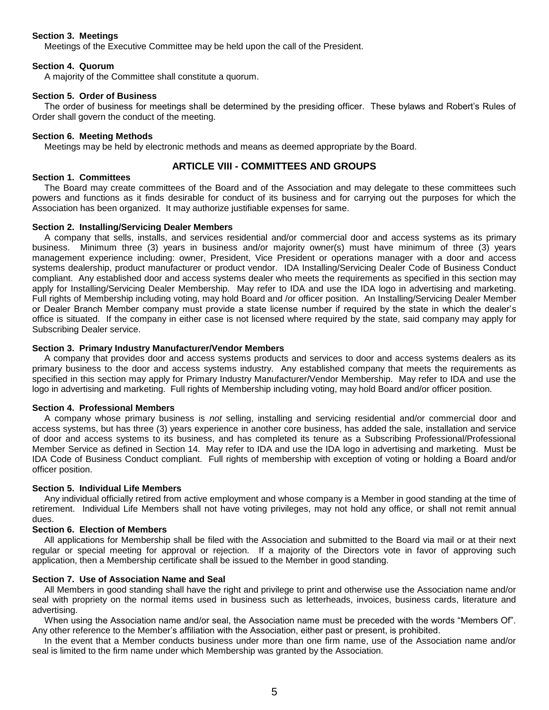# **Section 3. Meetings**

Meetings of the Executive Committee may be held upon the call of the President.

# **Section 4. Quorum**

A majority of the Committee shall constitute a quorum.

## **Section 5. Order of Business**

The order of business for meetings shall be determined by the presiding officer. These bylaws and Robert's Rules of Order shall govern the conduct of the meeting.

## **Section 6. Meeting Methods**

Meetings may be held by electronic methods and means as deemed appropriate by the Board.

# **ARTICLE VIII - COMMITTEES AND GROUPS**

# **Section 1. Committees**

The Board may create committees of the Board and of the Association and may delegate to these committees such powers and functions as it finds desirable for conduct of its business and for carrying out the purposes for which the Association has been organized. It may authorize justifiable expenses for same.

## **Section 2. Installing/Servicing Dealer Members**

A company that sells, installs, and services residential and/or commercial door and access systems as its primary business. Minimum three (3) years in business and/or majority owner(s) must have minimum of three (3) years management experience including: owner, President, Vice President or operations manager with a door and access systems dealership, product manufacturer or product vendor. IDA Installing/Servicing Dealer Code of Business Conduct compliant. Any established door and access systems dealer who meets the requirements as specified in this section may apply for Installing/Servicing Dealer Membership. May refer to IDA and use the IDA logo in advertising and marketing. Full rights of Membership including voting, may hold Board and /or officer position. An Installing/Servicing Dealer Member or Dealer Branch Member company must provide a state license number if required by the state in which the dealer's office is situated. If the company in either case is not licensed where required by the state, said company may apply for Subscribing Dealer service.

## **Section 3. Primary Industry Manufacturer/Vendor Members**

A company that provides door and access systems products and services to door and access systems dealers as its primary business to the door and access systems industry. Any established company that meets the requirements as specified in this section may apply for Primary Industry Manufacturer/Vendor Membership. May refer to IDA and use the logo in advertising and marketing. Full rights of Membership including voting, may hold Board and/or officer position.

#### **Section 4. Professional Members**

A company whose primary business is *not* selling, installing and servicing residential and/or commercial door and access systems, but has three (3) years experience in another core business, has added the sale, installation and service of door and access systems to its business, and has completed its tenure as a Subscribing Professional/Professional Member Service as defined in Section 14. May refer to IDA and use the IDA logo in advertising and marketing. Must be IDA Code of Business Conduct compliant. Full rights of membership with exception of voting or holding a Board and/or officer position.

### **Section 5. Individual Life Members**

Any individual officially retired from active employment and whose company is a Member in good standing at the time of retirement. Individual Life Members shall not have voting privileges, may not hold any office, or shall not remit annual dues.

#### **Section 6. Election of Members**

All applications for Membership shall be filed with the Association and submitted to the Board via mail or at their next regular or special meeting for approval or rejection. If a majority of the Directors vote in favor of approving such application, then a Membership certificate shall be issued to the Member in good standing.

# **Section 7. Use of Association Name and Seal**

All Members in good standing shall have the right and privilege to print and otherwise use the Association name and/or seal with propriety on the normal items used in business such as letterheads, invoices, business cards, literature and advertising.

When using the Association name and/or seal, the Association name must be preceded with the words "Members Of". Any other reference to the Member's affiliation with the Association, either past or present, is prohibited.

In the event that a Member conducts business under more than one firm name, use of the Association name and/or seal is limited to the firm name under which Membership was granted by the Association.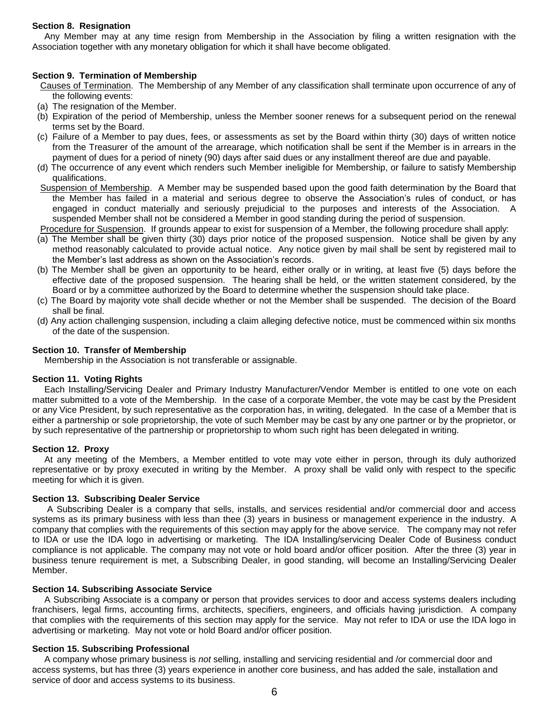# **Section 8. Resignation**

Any Member may at any time resign from Membership in the Association by filing a written resignation with the Association together with any monetary obligation for which it shall have become obligated.

# **Section 9. Termination of Membership**

- Causes of Termination. The Membership of any Member of any classification shall terminate upon occurrence of any of the following events:
- (a) The resignation of the Member.
- (b) Expiration of the period of Membership, unless the Member sooner renews for a subsequent period on the renewal terms set by the Board.
- (c) Failure of a Member to pay dues, fees, or assessments as set by the Board within thirty (30) days of written notice from the Treasurer of the amount of the arrearage, which notification shall be sent if the Member is in arrears in the payment of dues for a period of ninety (90) days after said dues or any installment thereof are due and payable.
- (d) The occurrence of any event which renders such Member ineligible for Membership, or failure to satisfy Membership qualifications.
- Suspension of Membership. A Member may be suspended based upon the good faith determination by the Board that the Member has failed in a material and serious degree to observe the Association's rules of conduct, or has engaged in conduct materially and seriously prejudicial to the purposes and interests of the Association. A suspended Member shall not be considered a Member in good standing during the period of suspension.

Procedure for Suspension. If grounds appear to exist for suspension of a Member, the following procedure shall apply:

- (a) The Member shall be given thirty (30) days prior notice of the proposed suspension. Notice shall be given by any method reasonably calculated to provide actual notice. Any notice given by mail shall be sent by registered mail to the Member's last address as shown on the Association's records.
- (b) The Member shall be given an opportunity to be heard, either orally or in writing, at least five (5) days before the effective date of the proposed suspension. The hearing shall be held, or the written statement considered, by the Board or by a committee authorized by the Board to determine whether the suspension should take place.
- (c) The Board by majority vote shall decide whether or not the Member shall be suspended. The decision of the Board shall be final.
- (d) Any action challenging suspension, including a claim alleging defective notice, must be commenced within six months of the date of the suspension.

## **Section 10. Transfer of Membership**

Membership in the Association is not transferable or assignable.

## **Section 11. Voting Rights**

Each Installing/Servicing Dealer and Primary Industry Manufacturer/Vendor Member is entitled to one vote on each matter submitted to a vote of the Membership. In the case of a corporate Member, the vote may be cast by the President or any Vice President, by such representative as the corporation has, in writing, delegated. In the case of a Member that is either a partnership or sole proprietorship, the vote of such Member may be cast by any one partner or by the proprietor, or by such representative of the partnership or proprietorship to whom such right has been delegated in writing.

#### **Section 12. Proxy**

At any meeting of the Members, a Member entitled to vote may vote either in person, through its duly authorized representative or by proxy executed in writing by the Member. A proxy shall be valid only with respect to the specific meeting for which it is given.

### **Section 13. Subscribing Dealer Service**

 A Subscribing Dealer is a company that sells, installs, and services residential and/or commercial door and access systems as its primary business with less than thee (3) years in business or management experience in the industry. A company that complies with the requirements of this section may apply for the above service. The company may not refer to IDA or use the IDA logo in advertising or marketing. The IDA Installing/servicing Dealer Code of Business conduct compliance is not applicable. The company may not vote or hold board and/or officer position. After the three (3) year in business tenure requirement is met, a Subscribing Dealer, in good standing, will become an Installing/Servicing Dealer Member.

#### **Section 14. Subscribing Associate Service**

A Subscribing Associate is a company or person that provides services to door and access systems dealers including franchisers, legal firms, accounting firms, architects, specifiers, engineers, and officials having jurisdiction. A company that complies with the requirements of this section may apply for the service. May not refer to IDA or use the IDA logo in advertising or marketing. May not vote or hold Board and/or officer position.

#### **Section 15. Subscribing Professional**

A company whose primary business is *not* selling, installing and servicing residential and /or commercial door and access systems, but has three (3) years experience in another core business, and has added the sale, installation and service of door and access systems to its business.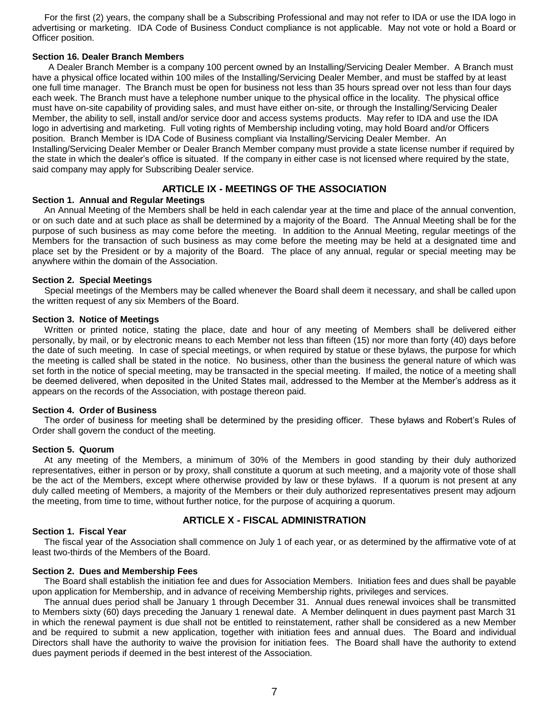For the first (2) years, the company shall be a Subscribing Professional and may not refer to IDA or use the IDA logo in advertising or marketing. IDA Code of Business Conduct compliance is not applicable. May not vote or hold a Board or Officer position.

# **Section 16. Dealer Branch Members**

A Dealer Branch Member is a company 100 percent owned by an Installing/Servicing Dealer Member. A Branch must have a physical office located within 100 miles of the Installing/Servicing Dealer Member, and must be staffed by at least one full time manager. The Branch must be open for business not less than 35 hours spread over not less than four days each week. The Branch must have a telephone number unique to the physical office in the locality. The physical office must have on-site capability of providing sales, and must have either on-site, or through the Installing/Servicing Dealer Member, the ability to sell, install and/or service door and access systems products. May refer to IDA and use the IDA logo in advertising and marketing. Full voting rights of Membership including voting, may hold Board and/or Officers position. Branch Member is IDA Code of Business compliant via Installing/Servicing Dealer Member. An Installing/Servicing Dealer Member or Dealer Branch Member company must provide a state license number if required by the state in which the dealer's office is situated. If the company in either case is not licensed where required by the state, said company may apply for Subscribing Dealer service.

# **ARTICLE IX - MEETINGS OF THE ASSOCIATION**

#### **Section 1. Annual and Regular Meetings**

An Annual Meeting of the Members shall be held in each calendar year at the time and place of the annual convention, or on such date and at such place as shall be determined by a majority of the Board. The Annual Meeting shall be for the purpose of such business as may come before the meeting. In addition to the Annual Meeting, regular meetings of the Members for the transaction of such business as may come before the meeting may be held at a designated time and place set by the President or by a majority of the Board. The place of any annual, regular or special meeting may be anywhere within the domain of the Association.

## **Section 2. Special Meetings**

Special meetings of the Members may be called whenever the Board shall deem it necessary, and shall be called upon the written request of any six Members of the Board.

#### **Section 3. Notice of Meetings**

Written or printed notice, stating the place, date and hour of any meeting of Members shall be delivered either personally, by mail, or by electronic means to each Member not less than fifteen (15) nor more than forty (40) days before the date of such meeting. In case of special meetings, or when required by statue or these bylaws, the purpose for which the meeting is called shall be stated in the notice. No business, other than the business the general nature of which was set forth in the notice of special meeting, may be transacted in the special meeting. If mailed, the notice of a meeting shall be deemed delivered, when deposited in the United States mail, addressed to the Member at the Member's address as it appears on the records of the Association, with postage thereon paid.

#### **Section 4. Order of Business**

The order of business for meeting shall be determined by the presiding officer. These bylaws and Robert's Rules of Order shall govern the conduct of the meeting.

#### **Section 5. Quorum**

At any meeting of the Members, a minimum of 30% of the Members in good standing by their duly authorized representatives, either in person or by proxy, shall constitute a quorum at such meeting, and a majority vote of those shall be the act of the Members, except where otherwise provided by law or these bylaws. If a quorum is not present at any duly called meeting of Members, a majority of the Members or their duly authorized representatives present may adjourn the meeting, from time to time, without further notice, for the purpose of acquiring a quorum.

# **ARTICLE X - FISCAL ADMINISTRATION**

# **Section 1. Fiscal Year**

The fiscal year of the Association shall commence on July 1 of each year, or as determined by the affirmative vote of at least two-thirds of the Members of the Board.

#### **Section 2. Dues and Membership Fees**

The Board shall establish the initiation fee and dues for Association Members. Initiation fees and dues shall be payable upon application for Membership, and in advance of receiving Membership rights, privileges and services.

The annual dues period shall be January 1 through December 31. Annual dues renewal invoices shall be transmitted to Members sixty (60) days preceding the January 1 renewal date. A Member delinquent in dues payment past March 31 in which the renewal payment is due shall not be entitled to reinstatement, rather shall be considered as a new Member and be required to submit a new application, together with initiation fees and annual dues. The Board and individual Directors shall have the authority to waive the provision for initiation fees. The Board shall have the authority to extend dues payment periods if deemed in the best interest of the Association.